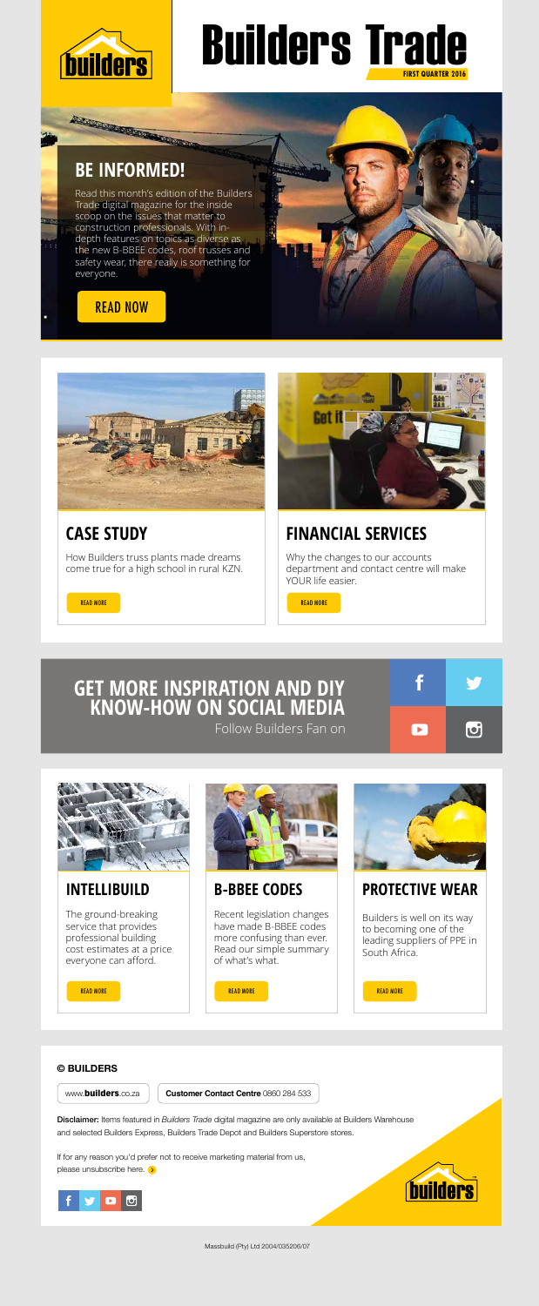Massbuild (Pty) Ltd 2004/035206/07

Read this month's edition of the Builders Trade digital magazine for the inside scoop on the issues that matter to construction professionals. With indepth features on topics as diverse as the new B-BBEE codes, roof trusses and safety wear, there really is something for everyone.

## **BE INFORMED!**

All Concert of the Concert of the Concert of

## **CASE STUDY**

How Builders truss plants made dreams come true for a high school in rural KZN.





#### **INTELLIBUILD**

The ground-breaking service that provides professional building cost estimates at a price everyone can afford.



If for any reason you'd prefer not to receive marketing material from us, please unsubscribe here. **>** 





#### **B-BBEE CODES**

Recent legislation changes have made B-BBEE codes more confusing than ever. Read our simple summary of what's what.



#### **PROTECTIVE WEAR**

Builders is well on its way to becoming one of the leading suppliers of PPE in South Africa.



#### READ NOW





www.**builders**.co.za **Customer Contact Centre** 0860 284 533

Disclaimer: Items featured in *Builders Trade* digital magazine are only available at Builders Warehouse and selected Builders Express, Builders Trade Depot and Builders Superstore stores.



# **FIRST QUARTER 2016** Builders Trade

#### **GET MORE INSPIRATION AND DIY KNOW-HOW ON SOCIAL MEDIA**



Follow Builders Fan on



## **FINANCIAL SERVICES**

Why the changes to our accounts department and contact centre will make YOUR life easier.

READ MORE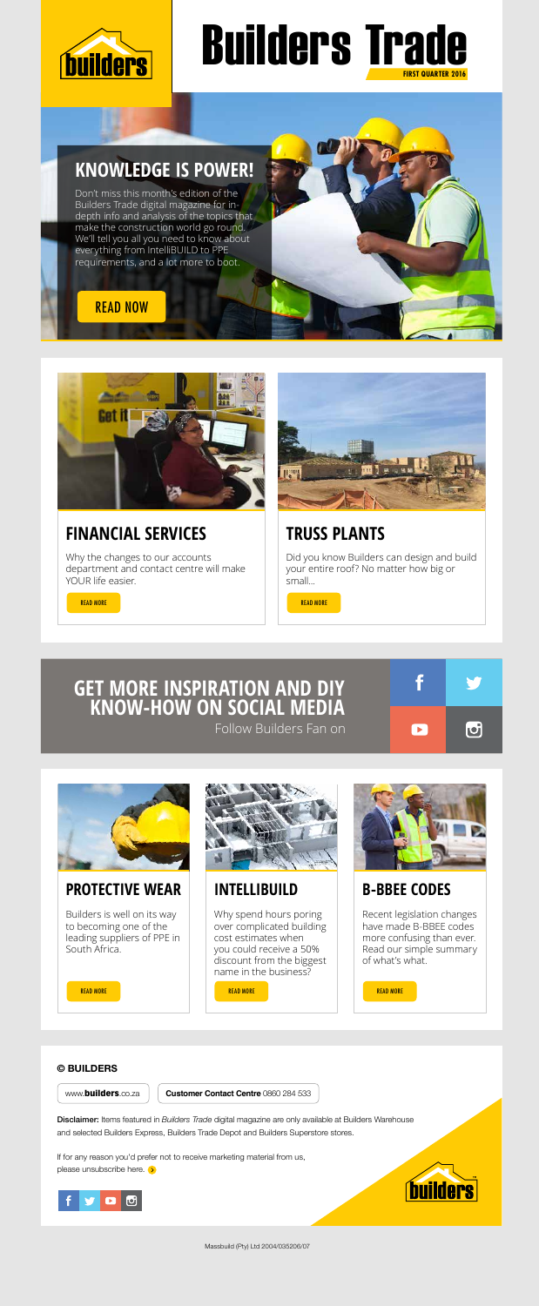Massbuild (Pty) Ltd 2004/035206/07

Don't miss this month's edition of the Builders Trade digital magazine for indepth info and analysis of the topics that make the construction world go round. We'll tell you all you need to know about everything from IntelliBUILD to PPE requirements, and a lot more to boot.

## **KNOWLEDGE IS POWER!**

## **FINANCIAL SERVICES**

Why the changes to our accounts department and contact centre will make YOUR life easier.



## **TRUSS PLANTS**

Did you know Builders can design and build your entire roof? No matter how big or small...

READ MORE **the contract of the contract of the contract of the contract of the contract of the contract of the contract of the contract of the contract of the contract of the contract of the contract of the contract of the** 

#### **PROTECTIVE WEAR**

If for any reason you'd prefer not to receive marketing material from us, please unsubscribe here. **>** 





Builders is well on its way to becoming one of the leading suppliers of PPE in South Africa.



#### **INTELLIBUILD**

Why spend hours poring over complicated building cost estimates when you could receive a 50% discount from the biggest name in the business?



#### **B-BBEE CODES**

Recent legislation changes have made B-BBEE codes more confusing than ever. Read our simple summary of what's what.

READ MORE And the second control of the second control of the second control of the second control of the second control of the second control of the second control of the second control of the second control of the second

#### READ NOW



#### **© BUILDERS**

www.**builders**.co.za **Customer Contact Centre** 0860 284 533

Disclaimer: Items featured in *Builders Trade* digital magazine are only available at Builders Warehouse and selected Builders Express, Builders Trade Depot and Builders Superstore stores.



# **FIRST QUARTER 2016** Builders Trade

#### **GET MORE INSPIRATION AND DIY KNOW-HOW ON SOCIAL MEDIA**



Follow Builders Fan on